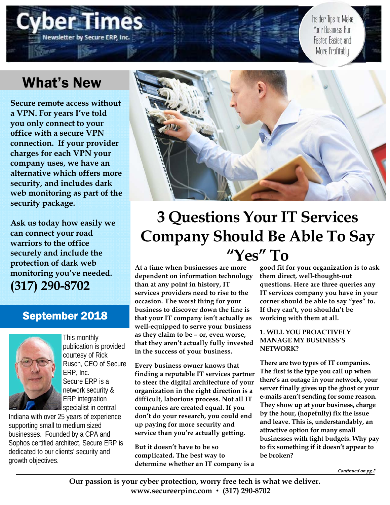# Newsletter by Secure ERP, In

Insider Tips to Make Your Business Run Faster, Easier, and More Profitably

## What's New

**Secure remote access without a VPN. For years I've told you only connect to your office with a secure VPN connection. If your provider charges for each VPN your company uses, we have an alternative which offers more security, and includes dark web monitoring as part of the security package.** 

**Ask us today how easily we can connect your road warriors to the office securely and include the protection of dark web monitoring you've needed. (317) 290-8702**

### September 2018



This monthly publication is provided courtesy of Rick Rusch, CEO of Secure ERP, Inc. Secure ERP is a network security & ERP integration specialist in central

Indiana with over 25 years of experience supporting small to medium sized businesses. Founded by a CPA and Sophos certified architect, Secure ERP is dedicated to our clients' security and growth objectives.



# **3 Questions Your IT Services Company Should Be Able To Say "Yes" To**

**At a time when businesses are more dependent on information technology than at any point in history, IT services providers need to rise to the occasion. The worst thing for your business to discover down the line is that your IT company isn't actually as well-equipped to serve your business as they claim to be – or, even worse, that they aren't actually fully invested in the success of your business.** 

**Every business owner knows that finding a reputable IT services partner to steer the digital architecture of your organization in the right direction is a difficult, laborious process. Not all IT companies are created equal. If you don't do your research, you could end up paying for more security and service than you're actually getting.** 

**But it doesn't have to be so complicated. The best way to determine whether an IT company is a** 

**good fit for your organization is to ask them direct, well-thought-out questions. Here are three queries any IT services company you have in your corner should be able to say "yes" to. If they can't, you shouldn't be working with them at all.** 

#### **1. WILL YOU PROACTIVELY MANAGE MY BUSINESS'S NETWORK?**

**There are two types of IT companies. The first is the type you call up when there's an outage in your network, your server finally gives up the ghost or your e-mails aren't sending for some reason. They show up at your business, charge by the hour, (hopefully) fix the issue and leave. This is, understandably, an attractive option for many small businesses with tight budgets. Why pay to fix something if it doesn't appear to be broken?** 

**Continued on pg.2**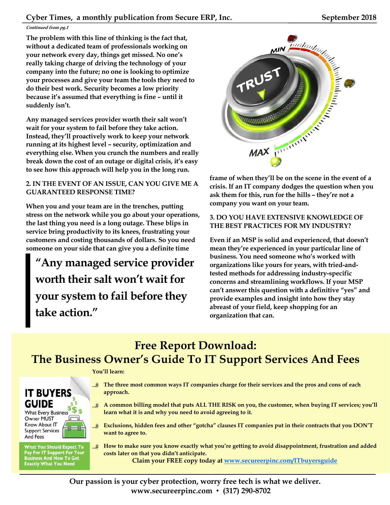#### **Continued from pg.1**

**The problem with this line of thinking is the fact that, without a dedicated team of professionals working on your network every day, things get missed. No one's really taking charge of driving the technology of your company into the future; no one is looking to optimize your processes and give your team the tools they need to do their best work. Security becomes a low priority because it's assumed that everything is fine – until it suddenly isn't.** 

**Any managed services provider worth their salt won't wait for your system to fail before they take action. Instead, they'll proactively work to keep your network running at its highest level – security, optimization and everything else. When you crunch the numbers and really break down the cost of an outage or digital crisis, it's easy to see how this approach will help you in the long run.** 

#### **2. IN THE EVENT OF AN ISSUE, CAN YOU GIVE ME A GUARANTEED RESPONSE TIME?**

**When you and your team are in the trenches, putting stress on the network while you go about your operations, the last thing you need is a long outage. These blips in service bring productivity to its knees, frustrating your customers and costing thousands of dollars. So you need someone on your side that can give you a definite time** 

**"Any managed service provider worth their salt won't wait for your system to fail before they take action."** 



**frame of when they'll be on the scene in the event of a crisis. If an IT company dodges the question when you ask them for this, run for the hills – they're not a company you want on your team.** 

#### **3. DO YOU HAVE EXTENSIVE KNOWLEDGE OF THE BEST PRACTICES FOR MY INDUSTRY?**

**Even if an MSP is solid and experienced, that doesn't mean they're experienced in your particular line of business. You need someone who's worked with organizations like yours for years, with tried-andtested methods for addressing industry-specific concerns and streamlining workflows. If your MSP can't answer this question with a definitive "yes" and provide examples and insight into how they stay abreast of your field, keep shopping for an organization that can.** 

### **Free Report Download: The Business Owner's Guide To IT Support Services And Fees**

#### **You'll learn:**



**What You Should Expect To** Pay For IT Support For Your<br>Business And How To Get<br>Exactly What You Need

- **The three most common ways IT companies charge for their services and the pros and cons of each approach.**
- **A common billing model that puts ALL THE RISK on you, the customer, when buying IT services; you'll learn what it is and why you need to avoid agreeing to it.**
- **Exclusions, hidden fees and other "gotcha" clauses IT companies put in their contracts that you DON'T want to agree to.**
- **How to make sure you know exactly what you're getting to avoid disappointment, frustration and added costs later on that you didn't anticipate.**

**Claim your FREE copy today at www.secureerpinc.com/ITbuyersguide**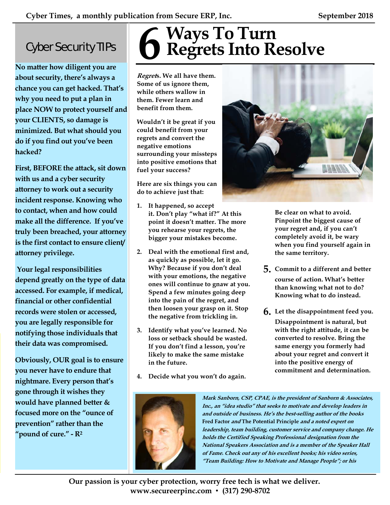## Cyber Security TIPs

**No matter how diligent you are about security, there's always a chance you can get hacked. That's why you need to put a plan in place NOW to protect yourself and your CLIENTS, so damage is minimized. But what should you do if you find out you've been hacked?** 

**First, BEFORE the attack, sit down with us and a cyber security attorney to work out a security incident response. Knowing who to contact, when and how could make all the difference. If you've truly been breached, your attorney is the first contact to ensure client/ attorney privilege.** 

 **Your legal responsibilities depend greatly on the type of data accessed. For example, if medical, financial or other confidential records were stolen or accessed, you are legally responsible for notifying those individuals that their data was compromised.** 

**Obviously, OUR goal is to ensure you never have to endure that nightmare. Every person that's gone through it wishes they would have planned better & focused more on the "ounce of prevention" rather than the "pound of cure." - R2**

# **Ways To Turn 6 Regrets Into Resolve**

**Regrets. We all have them. Some of us ignore them, while others wallow in them. Fewer learn and benefit from them.** 

**Wouldn't it be great if you could benefit from your regrets and convert the negative emotions surrounding your missteps into positive emotions that fuel your success?** 

**Here are six things you can do to achieve just that:** 

- **1. It happened, so accept it. Don't play "what if?" At this point it doesn't matter. The more you rehearse your regrets, the bigger your mistakes become.**
- **2. Deal with the emotional first and, as quickly as possible, let it go. Why? Because if you don't deal with your emotions, the negative ones will continue to gnaw at you. Spend a few minutes going deep into the pain of the regret, and then loosen your grasp on it. Stop the negative from trickling in.**
- **3. Identify what you've learned. No loss or setback should be wasted. If you don't find a lesson, you're likely to make the same mistake in the future.**
- **4. Decide what you won't do again.**





**Be clear on what to avoid. Pinpoint the biggest cause of your regret and, if you can't completely avoid it, be wary when you find yourself again in the same territory.** 

- **5. Commit to a different and better course of action. What's better than knowing what not to do? Knowing what to do instead.**
- **6. Let the disappointment feed you.**

**Disappointment is natural, but with the right attitude, it can be converted to resolve. Bring the same energy you formerly had about your regret and convert it into the positive energy of commitment and determination.**

**Mark Sanborn, CSP, CPAE, is the president of Sanborn & Associates, Inc., an "idea studio" that seeks to motivate and develop leaders in and outside of business. He's the best-selling author of the books Fred Factor and The Potential Principle and a noted expert on leadership, team building, customer service and company change. He holds the Certified Speaking Professional designation from the National Speakers Association and is a member of the Speaker Hall of Fame. Check out any of his excellent books; his video series, "Team Building: How to Motivate and Manage People"; or his** 

**Our passion is your cyber protection, worry free tech is what we deliver. www.secureerpinc.com** • **(317) 290-8702**